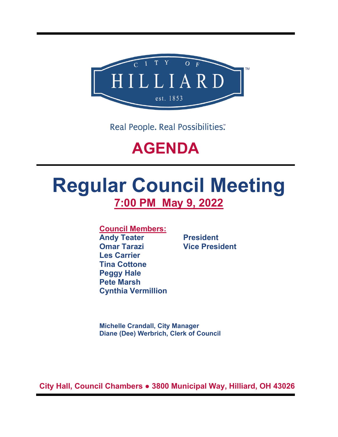

Real People. Real Possibilities:

## **AGENDA**

# **Regular Council Meeting 7:00 PM May 9, 2022**

**Council Members:**

**Andy Teater President Omar Tarazi Vice President Les Carrier Tina Cottone Peggy Hale Pete Marsh Cynthia Vermillion**

**Michelle Crandall, City Manager Diane (Dee) Werbrich, Clerk of Council**

**City Hall, Council Chambers ● 3800 Municipal Way, Hilliard, OH 43026**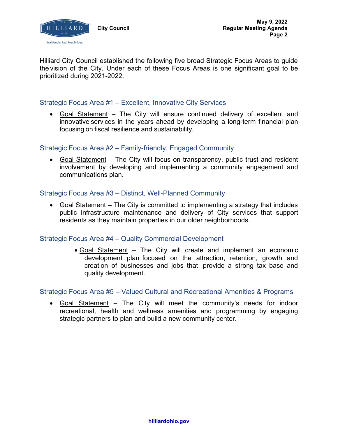

Hilliard City Council established the following five broad Strategic Focus Areas to guide the vision of the City. Under each of these Focus Areas is one significant goal to be prioritized during 2021-2022.

## Strategic Focus Area #1 – Excellent, Innovative City Services

• Goal Statement – The City will ensure continued delivery of excellent and innovative services in the years ahead by developing a long-term financial plan focusing on fiscal resilience and sustainability.

## Strategic Focus Area #2 – Family-friendly, Engaged Community

• Goal Statement – The City will focus on transparency, public trust and resident involvement by developing and implementing a community engagement and communications plan.

## Strategic Focus Area #3 – Distinct, Well-Planned Community

• Goal Statement – The City is committed to implementing a strategy that includes public infrastructure maintenance and delivery of City services that support residents as they maintain properties in our older neighborhoods.

## Strategic Focus Area #4 – Quality Commercial Development

• Goal Statement – The City will create and implement an economic development plan focused on the attraction, retention, growth and creation of businesses and jobs that provide a strong tax base and quality development.

### Strategic Focus Area #5 – Valued Cultural and Recreational Amenities & Programs

• Goal Statement – The City will meet the community's needs for indoor recreational, health and wellness amenities and programming by engaging strategic partners to plan and build a new community center.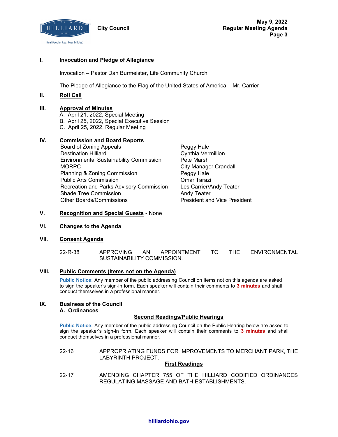

#### **I. Invocation and Pledge of Allegiance**

Invocation – Pastor Dan Burmeister, Life Community Church

The Pledge of Allegiance to the Flag of the United States of America – Mr. Carrier

#### **II. Roll Call**

#### **III. Approval of Minutes**

A. April 21, 2022, Special Meeting B. April 25, 2022, Special Executive Session C. April 25, 2022, Regular Meeting

#### **IV. Commission and Board Reports**

- Board of Zoning Appeals **Peggy Hale** Destination Hilliard Cynthia Vermillion Environmental Sustainability Commission Pete Marsh MORPC **City Manager Crandall** Planning & Zoning Commission Peggy Hale Public Arts Commission **Commission** Omar Tarazi Recreation and Parks Advisory Commission Les Carrier/Andy Teater Shade Tree Commission **Andy Teater** Andy Teater Other Boards/Commissions **President and Vice President** 
	-

#### **V. Recognition and Special Guests** - None

#### **VI. Changes to the Agenda**

#### **VII. Consent Agenda**

22-R-38 APPROVING AN APPOINTMENT TO THE ENVIRONMENTAL SUSTAINABILITY COMMISSION.

#### **VIII. Public Comments (Items not on the Agenda)**

**Public Notice:** Any member of the public addressing Council on items not on this agenda are asked to sign the speaker's sign-in form. Each speaker will contain their comments to **3 minutes** and shall conduct themselves in a professional manner.

#### **IX. Business of the Council A. Ordinances**

#### **Second Readings/Public Hearings**

**Public Notice:** Any member of the public addressing Council on the Public Hearing below are asked to sign the speaker's sign-in form. Each speaker will contain their comments to **3 minutes** and shall conduct themselves in a professional manner.

22-16 APPROPRIATING FUNDS FOR IMPROVEMENTS TO MERCHANT PARK, THE LABYRINTH PROJECT.

#### **First Readings**

22-17 AMENDING CHAPTER 755 OF THE HILLIARD CODIFIED ORDINANCES REGULATING MASSAGE AND BATH ESTABLISHMENTS.